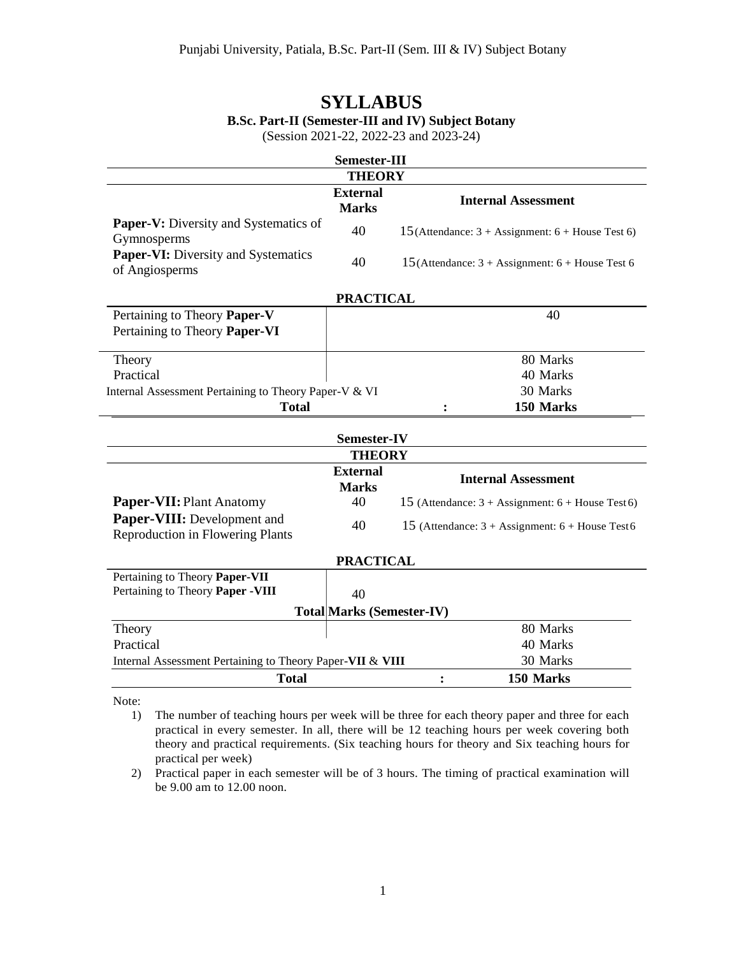# **SYLLABUS B.Sc. Part-II (Semester-III and IV) Subject Botany**

(Session 2021-22, 2022-23 and 2023-24)

| Semester-III                                                           |                                 |                                                                    |  |  |  |  |  |
|------------------------------------------------------------------------|---------------------------------|--------------------------------------------------------------------|--|--|--|--|--|
| <b>THEORY</b>                                                          |                                 |                                                                    |  |  |  |  |  |
|                                                                        | <b>External</b><br><b>Marks</b> | <b>Internal Assessment</b>                                         |  |  |  |  |  |
| <b>Paper-V:</b> Diversity and Systematics of<br>Gymnosperms            | 40                              | 15 (Attendance: $3 +$ Assignment: $6 +$ House Test 6)              |  |  |  |  |  |
| Paper-VI: Diversity and Systematics<br>of Angiosperms                  | 40                              | 15(Attendance: $3 +$ Assignment: $6 +$ House Test 6                |  |  |  |  |  |
| <b>PRACTICAL</b>                                                       |                                 |                                                                    |  |  |  |  |  |
| Pertaining to Theory Paper-V<br>Pertaining to Theory Paper-VI          |                                 | 40                                                                 |  |  |  |  |  |
| Theory                                                                 |                                 | 80 Marks                                                           |  |  |  |  |  |
| Practical                                                              |                                 | 40 Marks                                                           |  |  |  |  |  |
| Internal Assessment Pertaining to Theory Paper-V & VI                  |                                 | 30 Marks                                                           |  |  |  |  |  |
| <b>Total</b>                                                           |                                 | 150 Marks                                                          |  |  |  |  |  |
| <b>Semester-IV</b>                                                     |                                 |                                                                    |  |  |  |  |  |
|                                                                        | <b>THEORY</b>                   |                                                                    |  |  |  |  |  |
|                                                                        | <b>External</b><br><b>Marks</b> | <b>Internal Assessment</b>                                         |  |  |  |  |  |
| Paper-VII: Plant Anatomy                                               | 40                              | 15 (Attendance: $3 + \text{Assignment: } 6 + \text{House Test}$ 6) |  |  |  |  |  |
| Paper-VIII: Development and<br><b>Reproduction in Flowering Plants</b> | 40                              | 15 (Attendance: $3 + \text{Assignment: } 6 + \text{House Test6}$   |  |  |  |  |  |
| <b>PRACTICAL</b>                                                       |                                 |                                                                    |  |  |  |  |  |
| Pertaining to Theory Paper-VII                                         |                                 |                                                                    |  |  |  |  |  |
| Pertaining to Theory Paper - VIII                                      | 40                              |                                                                    |  |  |  |  |  |
| <b>Total Marks (Semester-IV)</b>                                       |                                 |                                                                    |  |  |  |  |  |
| Theory                                                                 |                                 | 80 Marks                                                           |  |  |  |  |  |
| Practical                                                              |                                 | 40 Marks                                                           |  |  |  |  |  |
| Internal Assessment Pertaining to Theory Paper-VII & VIII<br>30 Marks  |                                 |                                                                    |  |  |  |  |  |
| <b>Total</b>                                                           |                                 | 150 Marks                                                          |  |  |  |  |  |

Note:

<sup>1)</sup> The number of teaching hours per week will be three for each theory paper and three for each practical in every semester. In all, there will be 12 teaching hours per week covering both theory and practical requirements. (Six teaching hours for theory and Six teaching hours for practical per week)

<sup>2)</sup> Practical paper in each semester will be of 3 hours. The timing of practical examination will be 9.00 am to 12.00 noon.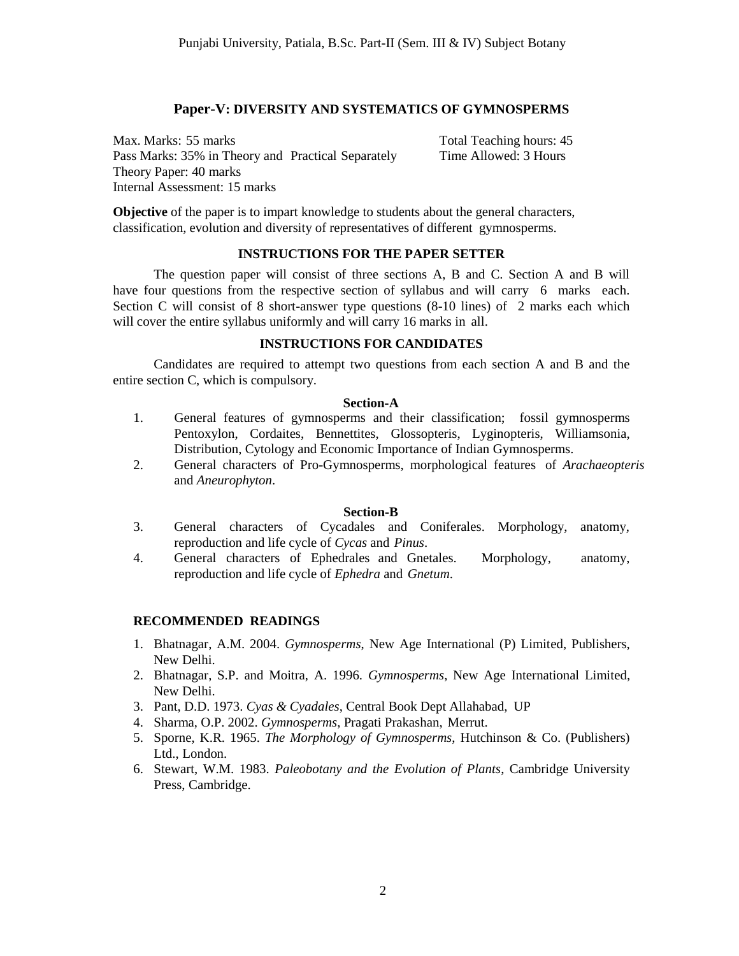## **Paper-V: DIVERSITY AND SYSTEMATICS OF GYMNOSPERMS**

Max. Marks: 55 marks Total Teaching hours: 45 Pass Marks: 35% in Theory and Practical Separately Time Allowed: 3 Hours Theory Paper: 40 marks Internal Assessment: 15 marks

**Objective** of the paper is to impart knowledge to students about the general characters, classification, evolution and diversity of representatives of different gymnosperms.

## **INSTRUCTIONS FOR THE PAPER SETTER**

The question paper will consist of three sections A, B and C. Section A and B will have four questions from the respective section of syllabus and will carry 6 marks each. Section C will consist of 8 short-answer type questions (8-10 lines) of 2 marks each which will cover the entire syllabus uniformly and will carry 16 marks in all.

### **INSTRUCTIONS FOR CANDIDATES**

Candidates are required to attempt two questions from each section A and B and the entire section C, which is compulsory.

#### **Section-A**

- 1. General features of gymnosperms and their classification; fossil gymnosperms Pentoxylon, Cordaites, Bennettites, Glossopteris, Lyginopteris, Williamsonia, Distribution, Cytology and Economic Importance of Indian Gymnosperms.
- 2. General characters of Pro-Gymnosperms, morphological features of *Arachaeopteris*  and *Aneurophyton*.

### **Section-B**

- 3. General characters of Cycadales and Coniferales. Morphology, anatomy, reproduction and life cycle of *Cycas* and *Pinus*.
- 4. General characters of Ephedrales and Gnetales. Morphology, anatomy, reproduction and life cycle of *Ephedra* and *Gnetum*.

- 1. Bhatnagar, A.M. 2004. *Gymnosperms*, New Age International (P) Limited, Publishers, New Delhi.
- 2. Bhatnagar, S.P. and Moitra, A. 1996. *Gymnosperms*, New Age International Limited, New Delhi.
- 3. Pant, D.D. 1973. *Cyas & Cyadales*, Central Book Dept Allahabad, UP
- 4. Sharma, O.P. 2002. *Gymnosperms*, Pragati Prakashan, Merrut.
- 5. Sporne, K.R. 1965. *The Morphology of Gymnosperms*, Hutchinson & Co. (Publishers) Ltd., London.
- 6. Stewart, W.M. 1983. *Paleobotany and the Evolution of Plants*, Cambridge University Press, Cambridge.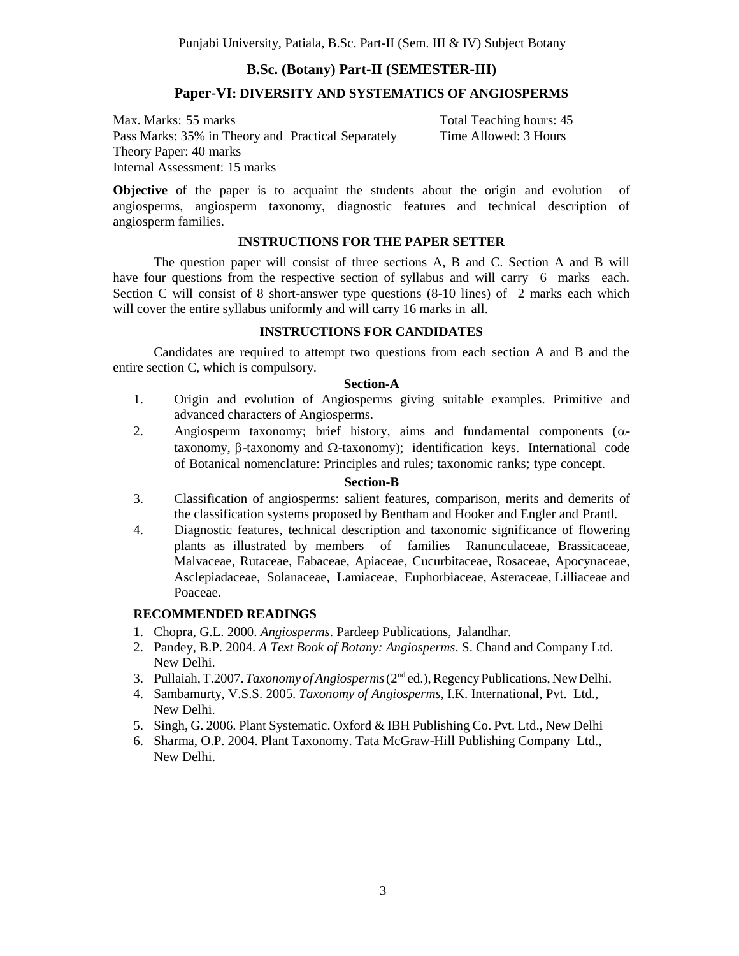## **B.Sc. (Botany) Part-II (SEMESTER-III)**

### **Paper-VI: DIVERSITY AND SYSTEMATICS OF ANGIOSPERMS**

Max. Marks: 55 marks Total Teaching hours: 45 Pass Marks: 35% in Theory and Practical Separately Time Allowed: 3 Hours Theory Paper: 40 marks Internal Assessment: 15 marks

**Objective** of the paper is to acquaint the students about the origin and evolution of angiosperms, angiosperm taxonomy, diagnostic features and technical description of angiosperm families.

### **INSTRUCTIONS FOR THE PAPER SETTER**

The question paper will consist of three sections A, B and C. Section A and B will have four questions from the respective section of syllabus and will carry 6 marks each. Section C will consist of 8 short-answer type questions (8-10 lines) of 2 marks each which will cover the entire syllabus uniformly and will carry 16 marks in all.

### **INSTRUCTIONS FOR CANDIDATES**

Candidates are required to attempt two questions from each section A and B and the entire section C, which is compulsory.

#### **Section-A**

- 1. Origin and evolution of Angiosperms giving suitable examples. Primitive and advanced characters of Angiosperms.
- 2. Angiosperm taxonomy; brief history, aims and fundamental components  $(\alpha$ taxonomy,  $\beta$ -taxonomy and  $\Omega$ -taxonomy); identification keys. International code of Botanical nomenclature: Principles and rules; taxonomic ranks; type concept.

#### **Section-B**

- 3. Classification of angiosperms: salient features, comparison, merits and demerits of the classification systems proposed by Bentham and Hooker and Engler and Prantl.
- 4. Diagnostic features, technical description and taxonomic significance of flowering plants as illustrated by members of families Ranunculaceae, Brassicaceae, Malvaceae, Rutaceae, Fabaceae, Apiaceae, Cucurbitaceae, Rosaceae, Apocynaceae, Asclepiadaceae, Solanaceae, Lamiaceae, Euphorbiaceae, Asteraceae, Lilliaceae and Poaceae.

- 1. Chopra, G.L. 2000. *Angiosperms*. Pardeep Publications, Jalandhar.
- 2. Pandey, B.P. 2004. *A Text Book of Botany: Angiosperms*. S. Chand and Company Ltd. New Delhi.
- 3. Pullaiah,T.2007.*Taxonomy of Angiosperms*(2nd ed.),RegencyPublications,NewDelhi.
- 4. Sambamurty, V.S.S. 2005. *Taxonomy of Angiosperms*, I.K. International, Pvt. Ltd., New Delhi.
- 5. Singh, G. 2006. Plant Systematic. Oxford & IBH Publishing Co. Pvt. Ltd., New Delhi
- 6. Sharma, O.P. 2004. Plant Taxonomy. Tata McGraw-Hill Publishing Company Ltd., New Delhi.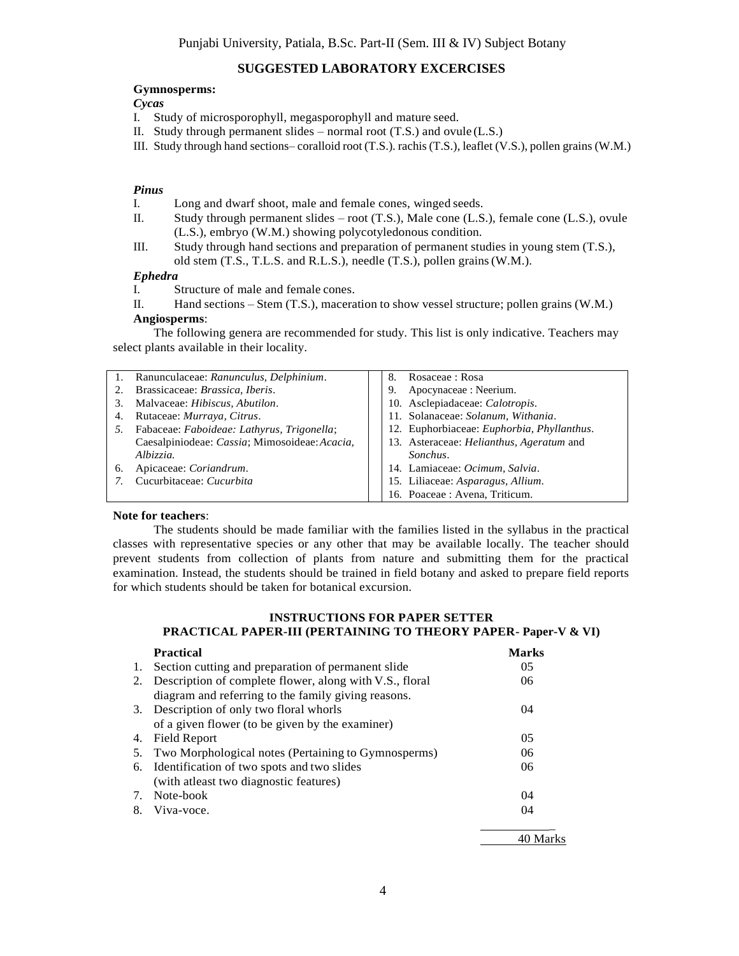### **SUGGESTED LABORATORY EXCERCISES**

#### **Gymnosperms:**

#### *Cycas*

- I. Study of microsporophyll, megasporophyll and mature seed.
- II. Study through permanent slides normal root (T.S.) and ovule (L.S.)
- III. Study through hand sections– coralloid root (T.S.). rachis(T.S.), leaflet (V.S.), pollen grains (W.M.)

#### *Pinus*

- I. Long and dwarf shoot, male and female cones, winged seeds.
- II. Study through permanent slides root (T.S.), Male cone (L.S.), female cone (L.S.), ovule (L.S.), embryo (W.M.) showing polycotyledonous condition.
- III. Study through hand sections and preparation of permanent studies in young stem (T.S.), old stem (T.S., T.L.S. and R.L.S.), needle (T.S.), pollen grains(W.M.).

#### *Ephedra*

- I. Structure of male and female cones.
- II. Hand sections Stem (T.S.), maceration to show vessel structure; pollen grains (W.M.) **Angiosperms**:

The following genera are recommended for study. This list is only indicative. Teachers may select plants available in their locality.

| 1. | Ranunculaceae: Ranunculus, Delphinium.        | Rosaceae: Rosa<br>8.                                    |
|----|-----------------------------------------------|---------------------------------------------------------|
|    | Brassicaceae: Brassica, Iberis.               | Apocynaceae : Neerium.<br>9.                            |
|    | Malvaceae: Hibiscus, Abutilon.                | 10. Asclepiadaceae: Calotropis.                         |
|    | Rutaceae: Murraya, Citrus.                    | 11. Solanaceae: Solanum, Withania.                      |
|    | Fabaceae: Faboideae: Lathyrus, Trigonella;    | 12. Euphorbiaceae: Euphorbia, Phyllanthus.              |
|    | Caesalpiniodeae: Cassia; Mimosoideae: Acacia, | 13. Asteraceae: <i>Helianthus</i> , <i>Ageratum</i> and |
|    | Albizzia.                                     | Sonchus.                                                |
| 6. | Apicaceae: Coriandrum.                        | 14. Lamiaceae: Ocimum, Salvia.                          |
|    | Cucurbitaceae: Cucurbita                      | 15. Liliaceae: Asparagus, Allium.                       |
|    |                                               | 16. Poaceae: Avena, Triticum.                           |

#### **Note for teachers**:

The students should be made familiar with the families listed in the syllabus in the practical classes with representative species or any other that may be available locally. The teacher should prevent students from collection of plants from nature and submitting them for the practical examination. Instead, the students should be trained in field botany and asked to prepare field reports for which students should be taken for botanical excursion.

### **INSTRUCTIONS FOR PAPER SETTER PRACTICAL PAPER-III (PERTAINING TO THEORY PAPER- Paper-V & VI)**

|    | <b>Practical</b>                                        | <b>Marks</b>   |
|----|---------------------------------------------------------|----------------|
| 1. | Section cutting and preparation of permanent slide      | 05             |
| 2. | Description of complete flower, along with V.S., floral | 06             |
|    | diagram and referring to the family giving reasons.     |                |
|    | 3. Description of only two floral whorls                | 04             |
|    | of a given flower (to be given by the examiner)         |                |
| 4. | <b>Field Report</b>                                     | 0 <sub>5</sub> |
| 5. | Two Morphological notes (Pertaining to Gymnosperms)     | 06             |
| 6. | Identification of two spots and two slides              | 06             |
|    | (with atleast two diagnostic features)                  |                |
| 7. | Note-book                                               | 04             |
| 8. | Viva-voce.                                              | 04             |
|    |                                                         |                |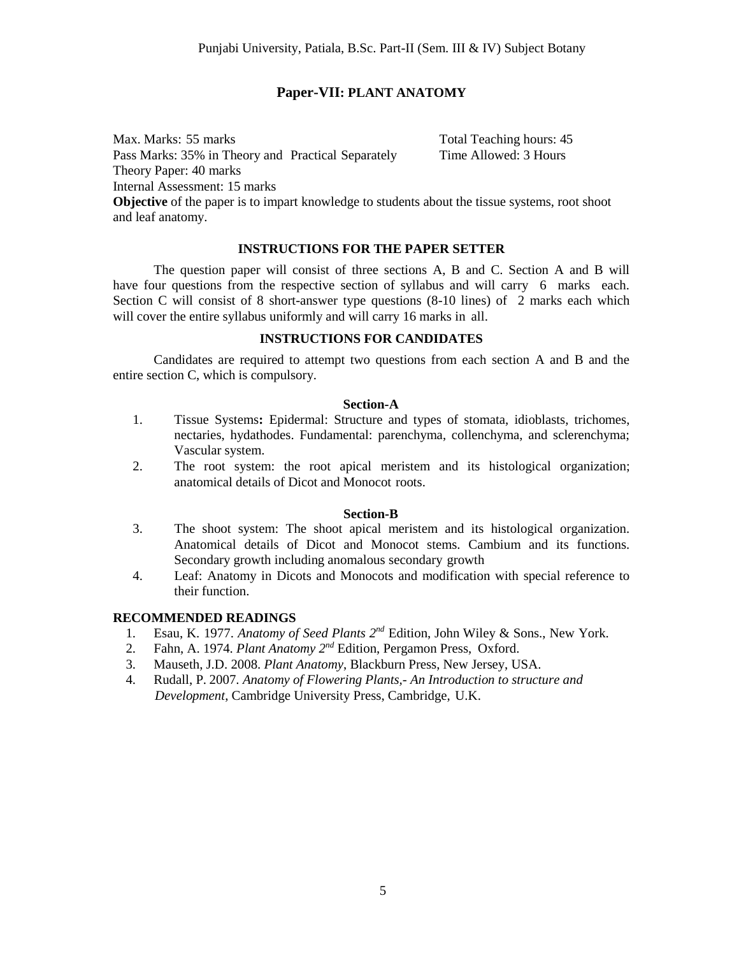## **Paper-VII: PLANT ANATOMY**

Max. Marks: 55 marks Total Teaching hours: 45 Pass Marks: 35% in Theory and Practical Separately Time Allowed: 3 Hours Theory Paper: 40 marks Internal Assessment: 15 marks

**Objective** of the paper is to impart knowledge to students about the tissue systems, root shoot and leaf anatomy.

### **INSTRUCTIONS FOR THE PAPER SETTER**

The question paper will consist of three sections A, B and C. Section A and B will have four questions from the respective section of syllabus and will carry 6 marks each. Section C will consist of 8 short-answer type questions (8-10 lines) of 2 marks each which will cover the entire syllabus uniformly and will carry 16 marks in all.

### **INSTRUCTIONS FOR CANDIDATES**

Candidates are required to attempt two questions from each section A and B and the entire section C, which is compulsory.

### **Section-A**

- 1. Tissue Systems**:** Epidermal: Structure and types of stomata, idioblasts, trichomes, nectaries, hydathodes. Fundamental: parenchyma, collenchyma, and sclerenchyma; Vascular system.
- 2. The root system: the root apical meristem and its histological organization; anatomical details of Dicot and Monocot roots.

### **Section-B**

- 3. The shoot system: The shoot apical meristem and its histological organization. Anatomical details of Dicot and Monocot stems. Cambium and its functions. Secondary growth including anomalous secondary growth
- 4. Leaf: Anatomy in Dicots and Monocots and modification with special reference to their function.

- 1. Esau, K. 1977. *Anatomy of Seed Plants*  $2^{nd}$  Edition, John Wiley & Sons., New York.
- 2. Fahn, A. 1974. *Plant Anatomy 2nd* Edition, Pergamon Press, Oxford.
- 3. Mauseth, J.D. 2008. *Plant Anatomy*, Blackburn Press, New Jersey, USA.
- 4. Rudall, P. 2007. *Anatomy of Flowering Plants,- An Introduction to structure and Development*, Cambridge University Press, Cambridge, U.K.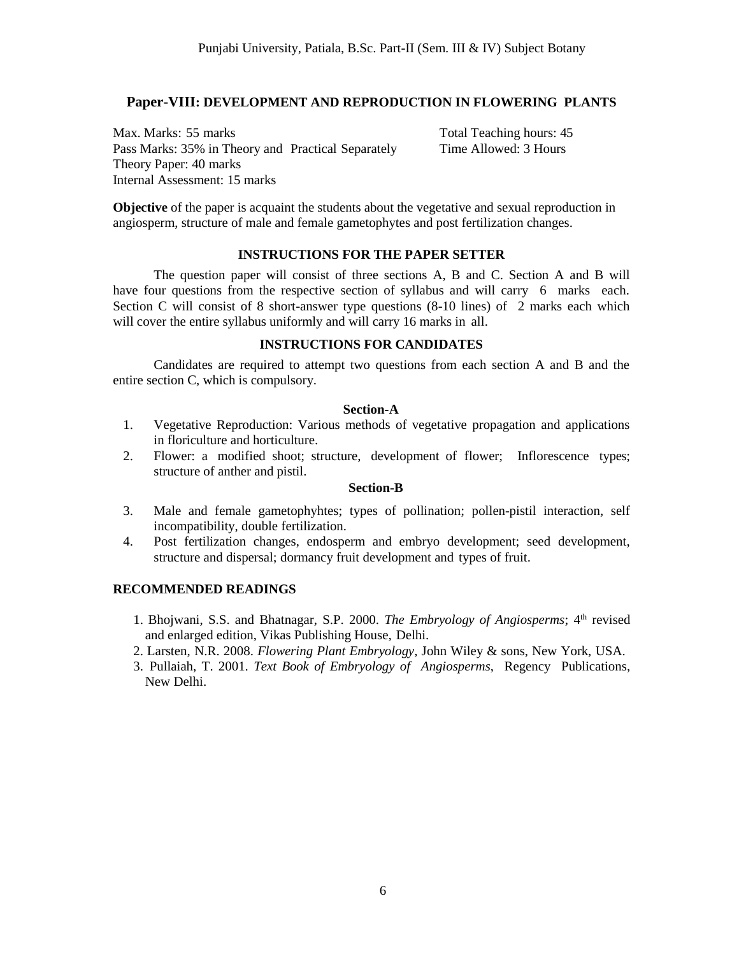## **Paper-VIII: DEVELOPMENT AND REPRODUCTION IN FLOWERING PLANTS**

Max. Marks: 55 marks Total Teaching hours: 45 Pass Marks: 35% in Theory and Practical Separately Time Allowed: 3 Hours Theory Paper: 40 marks Internal Assessment: 15 marks

**Objective** of the paper is acquaint the students about the vegetative and sexual reproduction in angiosperm, structure of male and female gametophytes and post fertilization changes.

### **INSTRUCTIONS FOR THE PAPER SETTER**

The question paper will consist of three sections A, B and C. Section A and B will have four questions from the respective section of syllabus and will carry 6 marks each. Section C will consist of 8 short-answer type questions (8-10 lines) of 2 marks each which will cover the entire syllabus uniformly and will carry 16 marks in all.

### **INSTRUCTIONS FOR CANDIDATES**

Candidates are required to attempt two questions from each section A and B and the entire section C, which is compulsory.

### **Section-A**

- 1. Vegetative Reproduction: Various methods of vegetative propagation and applications in floriculture and horticulture.
- 2. Flower: a modified shoot; structure, development of flower; Inflorescence types; structure of anther and pistil.

### **Section-B**

- 3. Male and female gametophyhtes; types of pollination; pollen-pistil interaction, self incompatibility, double fertilization.
- 4. Post fertilization changes, endosperm and embryo development; seed development, structure and dispersal; dormancy fruit development and types of fruit.

- 1. Bhojwani, S.S. and Bhatnagar, S.P. 2000. *The Embryology of Angiosperms*; 4th revised and enlarged edition, Vikas Publishing House, Delhi.
- 2. Larsten, N.R. 2008. *Flowering Plant Embryology*, John Wiley & sons, New York, USA.
- 3. Pullaiah, T. 2001. *Text Book of Embryology of Angiosperms*, Regency Publications, New Delhi.